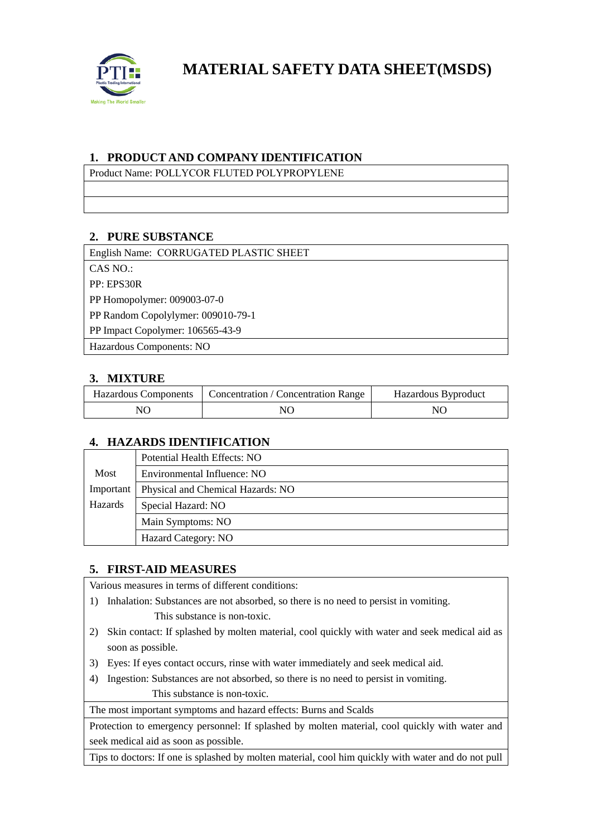

**MATERIAL SAFETY DATA SHEET(MSDS)**

## **1. PRODUCT AND COMPANY IDENTIFICATION**

Product Name: POLLYCOR FLUTED POLYPROPYLENE

### **2. PURE SUBSTANCE**

English Name: CORRUGATED PLASTIC SHEET  $CAS NO.$ PP: EPS30R PP Homopolymer: 009003-07-0 PP Random Copolylymer: 009010-79-1 PP Impact Copolymer: 106565-43-9 Hazardous Components: NO

### **3. MIXTURE**

|    | Hazardous Components   Concentration / Concentration Range | Hazardous Byproduct |
|----|------------------------------------------------------------|---------------------|
| NО | NO                                                         | NΟ                  |

#### **4. HAZARDS IDENTIFICATION**

|           | Potential Health Effects: NO      |
|-----------|-----------------------------------|
| Most      | Environmental Influence: NO       |
| Important | Physical and Chemical Hazards: NO |
| Hazards   | Special Hazard: NO                |
|           | Main Symptoms: NO                 |
|           | Hazard Category: NO               |

## **5. FIRST-AID MEASURES**

Various measures in terms of different conditions:

- 1) Inhalation: Substances are not absorbed, so there is no need to persist in vomiting.
	- This substance is non-toxic.
- 2) Skin contact: If splashed by molten material, cool quickly with water and seek medical aid as soon as possible.
- 3) Eyes: If eyes contact occurs, rinse with water immediately and seek medical aid.
- 4) Ingestion: Substances are not absorbed, so there is no need to persist in vomiting. This substance is non-toxic.

The most important symptoms and hazard effects: Burns and Scalds

Protection to emergency personnel: If splashed by molten material, cool quickly with water and seek medical aid as soon as possible.

Tips to doctors: If one is splashed by molten material, cool him quickly with water and do not pull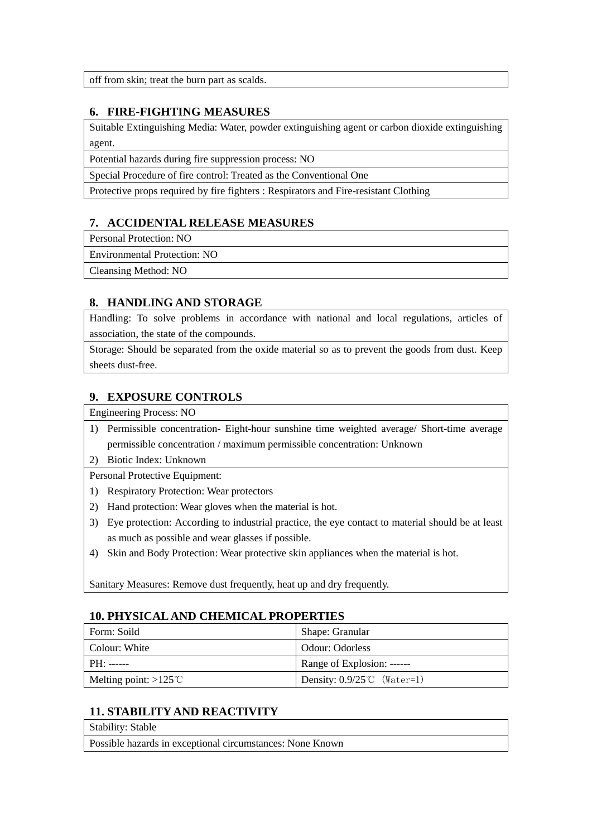off from skin; treat the burn part as scalds.

#### **6. FIRE-FIGHTING MEASURES**

Suitable Extinguishing Media: Water, powder extinguishing agent or carbon dioxide extinguishing agent.

Potential hazards during fire suppression process: NO

Special Procedure of fire control: Treated as the Conventional One

Protective props required by fire fighters : Respirators and Fire-resistant Clothing

### **7. ACCIDENTAL RELEASE MEASURES**

Personal Protection: NO

Environmental Protection: NO

Cleansing Method: NO

#### **8. HANDLING AND STORAGE**

Handling: To solve problems in accordance with national and local regulations, articles of association, the state of the compounds.

Storage: Should be separated from the oxide material so as to prevent the goods from dust. Keep sheets dust-free.

### **9. EXPOSURE CONTROLS**

Engineering Process: NO

- 1) Permissible concentration- Eight-hour sunshine time weighted average/ Short-time average permissible concentration / maximum permissible concentration: Unknown
- 2) Biotic Index: Unknown

Personal Protective Equipment:

- 1) Respiratory Protection: Wear protectors
- 2) Hand protection: Wear gloves when the material is hot.
- 3) Eye protection: According to industrial practice, the eye contact to material should be at least as much as possible and wear glasses if possible.
- 4) Skin and Body Protection: Wear protective skin appliances when the material is hot.

Sanitary Measures: Remove dust frequently, heat up and dry frequently.

#### **10. PHYSICAL AND CHEMICAL PROPERTIES**

| Form: Soild                     | Shape: Granular                       |
|---------------------------------|---------------------------------------|
| l Colour: White                 | Odour: Odorless                       |
| $PH:$ ------                    | Range of Explosion: ------            |
| Melting point: $>125^{\circ}$ C | Density: $0.9/25^{\circ}$ C (Water=1) |

## **11. STABILITY AND REACTIVITY**

| <b>Stability: Stable</b>                                  |  |
|-----------------------------------------------------------|--|
| Possible hazards in exceptional circumstances: None Known |  |